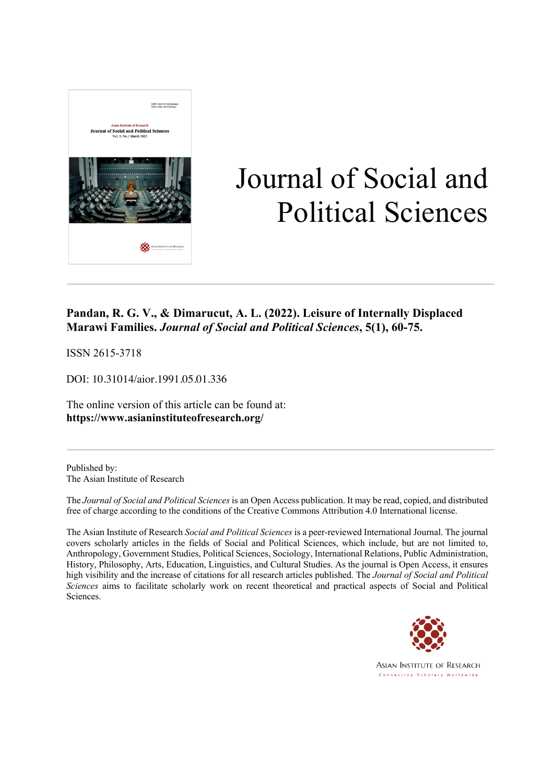

# Journal of Social and Political Sciences

### **Pandan, R. G. V., & Dimarucut, A. L. (2022). Leisure of Internally Displaced Marawi Families.** *Journal of Social and Political Sciences***, 5(1), 60-75.**

ISSN 2615-3718

DOI: 10.31014/aior.1991.05.01.336

The online version of this article can be found at: **https://www.asianinstituteofresearch.org/**

Published by: The Asian Institute of Research

The *Journal of Social and Political Sciences* is an Open Access publication. It may be read, copied, and distributed free of charge according to the conditions of the Creative Commons Attribution 4.0 International license.

The Asian Institute of Research *Social and Political Sciences* is a peer-reviewed International Journal. The journal covers scholarly articles in the fields of Social and Political Sciences, which include, but are not limited to, Anthropology, Government Studies, Political Sciences, Sociology, International Relations, Public Administration, History, Philosophy, Arts, Education, Linguistics, and Cultural Studies. As the journal is Open Access, it ensures high visibility and the increase of citations for all research articles published. The *Journal of Social and Political Sciences* aims to facilitate scholarly work on recent theoretical and practical aspects of Social and Political Sciences.



**ASIAN INSTITUTE OF RESEARCH** Connecting Scholars Worldwide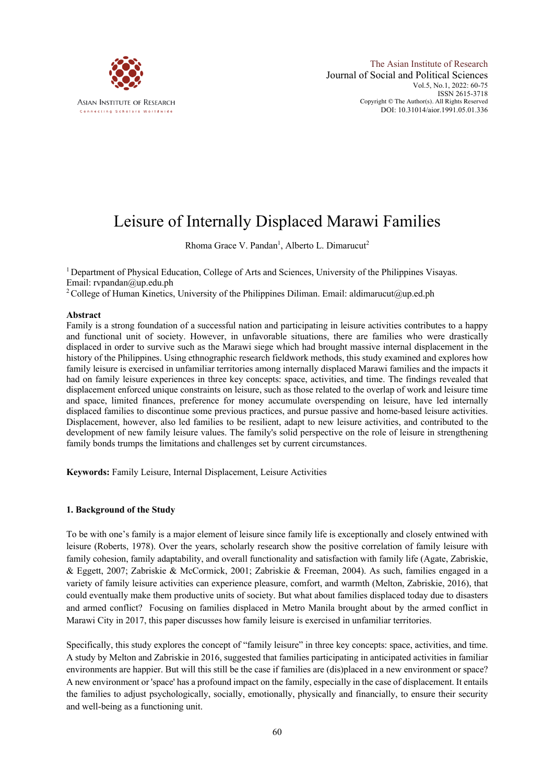

## Leisure of Internally Displaced Marawi Families

Rhoma Grace V. Pandan<sup>1</sup>, Alberto L. Dimarucut<sup>2</sup>

<sup>1</sup> Department of Physical Education, College of Arts and Sciences, University of the Philippines Visayas. Email: rvpandan@up.edu.ph

<sup>2</sup> College of Human Kinetics, University of the Philippines Diliman. Email: aldimarucut@up.ed.ph

#### **Abstract**

Family is a strong foundation of a successful nation and participating in leisure activities contributes to a happy and functional unit of society. However, in unfavorable situations, there are families who were drastically displaced in order to survive such as the Marawi siege which had brought massive internal displacement in the history of the Philippines. Using ethnographic research fieldwork methods, this study examined and explores how family leisure is exercised in unfamiliar territories among internally displaced Marawi families and the impacts it had on family leisure experiences in three key concepts: space, activities, and time. The findings revealed that displacement enforced unique constraints on leisure, such as those related to the overlap of work and leisure time and space, limited finances, preference for money accumulate overspending on leisure, have led internally displaced families to discontinue some previous practices, and pursue passive and home-based leisure activities. Displacement, however, also led families to be resilient, adapt to new leisure activities, and contributed to the development of new family leisure values. The family's solid perspective on the role of leisure in strengthening family bonds trumps the limitations and challenges set by current circumstances.

**Keywords:** Family Leisure, Internal Displacement, Leisure Activities

#### **1. Background of the Study**

To be with one's family is a major element of leisure since family life is exceptionally and closely entwined with leisure (Roberts, 1978). Over the years, scholarly research show the positive correlation of family leisure with family cohesion, family adaptability, and overall functionality and satisfaction with family life (Agate, Zabriskie, & Eggett, 2007; Zabriskie & McCormick, 2001; Zabriskie & Freeman, 2004). As such, families engaged in a variety of family leisure activities can experience pleasure, comfort, and warmth (Melton, Zabriskie, 2016), that could eventually make them productive units of society. But what about families displaced today due to disasters and armed conflict? Focusing on families displaced in Metro Manila brought about by the armed conflict in Marawi City in 2017, this paper discusses how family leisure is exercised in unfamiliar territories.

Specifically, this study explores the concept of "family leisure" in three key concepts: space, activities, and time. A study by Melton and Zabriskie in 2016, suggested that families participating in anticipated activities in familiar environments are happier. But will this still be the case if families are (dis)placed in a new environment or space? A new environment or 'space' has a profound impact on the family, especially in the case of displacement. It entails the families to adjust psychologically, socially, emotionally, physically and financially, to ensure their security and well-being as a functioning unit.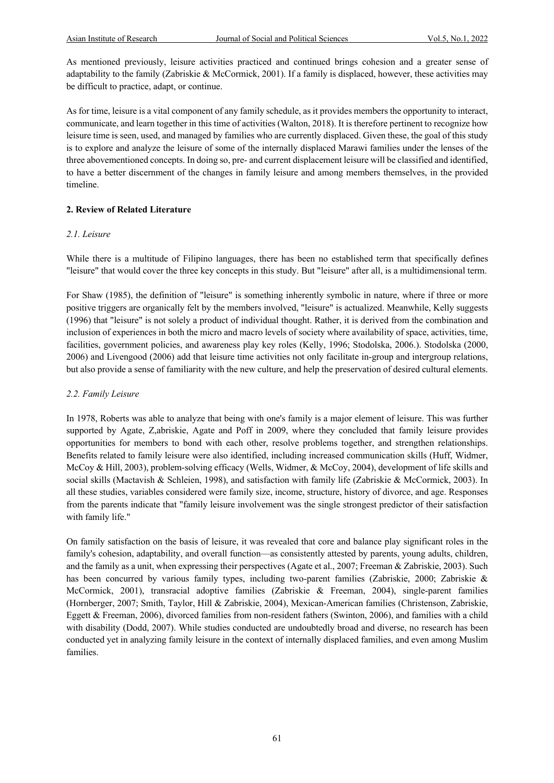As mentioned previously, leisure activities practiced and continued brings cohesion and a greater sense of adaptability to the family (Zabriskie & McCormick, 2001). If a family is displaced, however, these activities may be difficult to practice, adapt, or continue.

As for time, leisure is a vital component of any family schedule, as it provides members the opportunity to interact, communicate, and learn together in this time of activities (Walton, 2018). It is therefore pertinent to recognize how leisure time is seen, used, and managed by families who are currently displaced. Given these, the goal of this study is to explore and analyze the leisure of some of the internally displaced Marawi families under the lenses of the three abovementioned concepts. In doing so, pre- and current displacement leisure will be classified and identified, to have a better discernment of the changes in family leisure and among members themselves, in the provided timeline.

#### **2. Review of Related Literature**

#### *2.1. Leisure*

While there is a multitude of Filipino languages, there has been no established term that specifically defines "leisure" that would cover the three key concepts in this study. But "leisure" after all, is a multidimensional term.

For Shaw (1985), the definition of "leisure" is something inherently symbolic in nature, where if three or more positive triggers are organically felt by the members involved, "leisure" is actualized. Meanwhile, Kelly suggests (1996) that "leisure" is not solely a product of individual thought. Rather, it is derived from the combination and inclusion of experiences in both the micro and macro levels of society where availability of space, activities, time, facilities, government policies, and awareness play key roles (Kelly, 1996; Stodolska, 2006.). Stodolska (2000, 2006) and Livengood (2006) add that leisure time activities not only facilitate in-group and intergroup relations, but also provide a sense of familiarity with the new culture, and help the preservation of desired cultural elements.

#### *2.2. Family Leisure*

In 1978, Roberts was able to analyze that being with one's family is a major element of leisure. This was further supported by Agate, Z,abriskie, Agate and Poff in 2009, where they concluded that family leisure provides opportunities for members to bond with each other, resolve problems together, and strengthen relationships. Benefits related to family leisure were also identified, including increased communication skills (Huff, Widmer, McCoy & Hill, 2003), problem-solving efficacy (Wells, Widmer, & McCoy, 2004), development of life skills and social skills (Mactavish & Schleien, 1998), and satisfaction with family life (Zabriskie & McCormick, 2003). In all these studies, variables considered were family size, income, structure, history of divorce, and age. Responses from the parents indicate that "family leisure involvement was the single strongest predictor of their satisfaction with family life."

On family satisfaction on the basis of leisure, it was revealed that core and balance play significant roles in the family's cohesion, adaptability, and overall function—as consistently attested by parents, young adults, children, and the family as a unit, when expressing their perspectives (Agate et al., 2007; Freeman & Zabriskie, 2003). Such has been concurred by various family types, including two-parent families (Zabriskie, 2000; Zabriskie & McCormick, 2001), transracial adoptive families (Zabriskie & Freeman, 2004), single-parent families (Hornberger, 2007; Smith, Taylor, Hill & Zabriskie, 2004), Mexican-American families (Christenson, Zabriskie, Eggett & Freeman, 2006), divorced families from non-resident fathers (Swinton, 2006), and families with a child with disability (Dodd, 2007). While studies conducted are undoubtedly broad and diverse, no research has been conducted yet in analyzing family leisure in the context of internally displaced families, and even among Muslim families.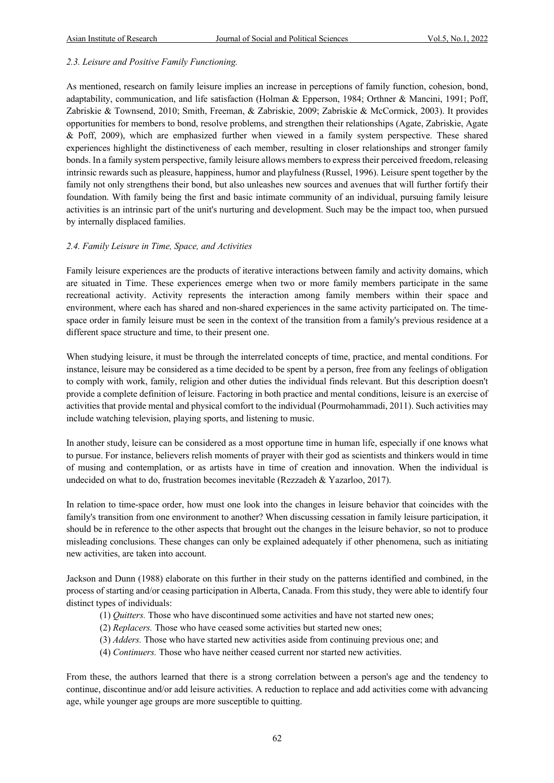#### *2.3. Leisure and Positive Family Functioning.*

As mentioned, research on family leisure implies an increase in perceptions of family function, cohesion, bond, adaptability, communication, and life satisfaction (Holman & Epperson, 1984; Orthner & Mancini, 1991; Poff, Zabriskie & Townsend, 2010; Smith, Freeman, & Zabriskie, 2009; Zabriskie & McCormick, 2003). It provides opportunities for members to bond, resolve problems, and strengthen their relationships (Agate, Zabriskie, Agate & Poff, 2009), which are emphasized further when viewed in a family system perspective. These shared experiences highlight the distinctiveness of each member, resulting in closer relationships and stronger family bonds. In a family system perspective, family leisure allows members to express their perceived freedom, releasing intrinsic rewards such as pleasure, happiness, humor and playfulness (Russel, 1996). Leisure spent together by the family not only strengthens their bond, but also unleashes new sources and avenues that will further fortify their foundation. With family being the first and basic intimate community of an individual, pursuing family leisure activities is an intrinsic part of the unit's nurturing and development. Such may be the impact too, when pursued by internally displaced families.

#### *2.4. Family Leisure in Time, Space, and Activities*

Family leisure experiences are the products of iterative interactions between family and activity domains, which are situated in Time. These experiences emerge when two or more family members participate in the same recreational activity. Activity represents the interaction among family members within their space and environment, where each has shared and non-shared experiences in the same activity participated on. The timespace order in family leisure must be seen in the context of the transition from a family's previous residence at a different space structure and time, to their present one.

When studying leisure, it must be through the interrelated concepts of time, practice, and mental conditions. For instance, leisure may be considered as a time decided to be spent by a person, free from any feelings of obligation to comply with work, family, religion and other duties the individual finds relevant. But this description doesn't provide a complete definition of leisure. Factoring in both practice and mental conditions, leisure is an exercise of activities that provide mental and physical comfort to the individual (Pourmohammadi, 2011). Such activities may include watching television, playing sports, and listening to music.

In another study, leisure can be considered as a most opportune time in human life, especially if one knows what to pursue. For instance, believers relish moments of prayer with their god as scientists and thinkers would in time of musing and contemplation, or as artists have in time of creation and innovation. When the individual is undecided on what to do, frustration becomes inevitable (Rezzadeh & Yazarloo, 2017).

In relation to time-space order, how must one look into the changes in leisure behavior that coincides with the family's transition from one environment to another? When discussing cessation in family leisure participation, it should be in reference to the other aspects that brought out the changes in the leisure behavior, so not to produce misleading conclusions. These changes can only be explained adequately if other phenomena, such as initiating new activities, are taken into account.

Jackson and Dunn (1988) elaborate on this further in their study on the patterns identified and combined, in the process of starting and/or ceasing participation in Alberta, Canada. From this study, they were able to identify four distinct types of individuals:

- (1) *Quitters.* Those who have discontinued some activities and have not started new ones;
- (2) *Replacers.* Those who have ceased some activities but started new ones;
- (3) *Adders.* Those who have started new activities aside from continuing previous one; and
- (4) *Continuers.* Those who have neither ceased current nor started new activities.

From these, the authors learned that there is a strong correlation between a person's age and the tendency to continue, discontinue and/or add leisure activities. A reduction to replace and add activities come with advancing age, while younger age groups are more susceptible to quitting.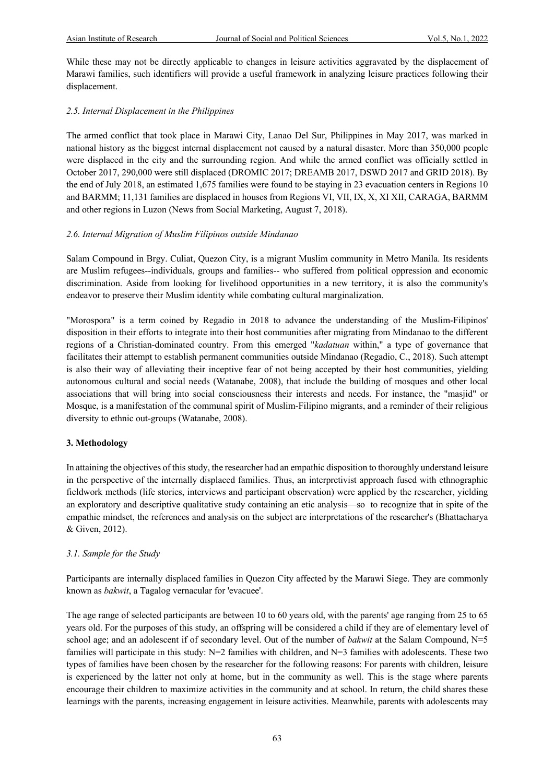While these may not be directly applicable to changes in leisure activities aggravated by the displacement of Marawi families, such identifiers will provide a useful framework in analyzing leisure practices following their displacement.

#### *2.5. Internal Displacement in the Philippines*

The armed conflict that took place in Marawi City, Lanao Del Sur, Philippines in May 2017, was marked in national history as the biggest internal displacement not caused by a natural disaster. More than 350,000 people were displaced in the city and the surrounding region. And while the armed conflict was officially settled in October 2017, 290,000 were still displaced (DROMIC 2017; DREAMB 2017, DSWD 2017 and GRID 2018). By the end of July 2018, an estimated 1,675 families were found to be staying in 23 evacuation centers in Regions 10 and BARMM; 11,131 families are displaced in houses from Regions VI, VII, IX, X, XI XII, CARAGA, BARMM and other regions in Luzon (News from Social Marketing, August 7, 2018).

#### *2.6. Internal Migration of Muslim Filipinos outside Mindanao*

Salam Compound in Brgy. Culiat, Quezon City, is a migrant Muslim community in Metro Manila. Its residents are Muslim refugees--individuals, groups and families-- who suffered from political oppression and economic discrimination. Aside from looking for livelihood opportunities in a new territory, it is also the community's endeavor to preserve their Muslim identity while combating cultural marginalization.

"Morospora" is a term coined by Regadio in 2018 to advance the understanding of the Muslim-Filipinos' disposition in their efforts to integrate into their host communities after migrating from Mindanao to the different regions of a Christian-dominated country. From this emerged "*kadatuan* within," a type of governance that facilitates their attempt to establish permanent communities outside Mindanao (Regadio, C., 2018). Such attempt is also their way of alleviating their inceptive fear of not being accepted by their host communities, yielding autonomous cultural and social needs (Watanabe, 2008), that include the building of mosques and other local associations that will bring into social consciousness their interests and needs. For instance, the "masjid" or Mosque, is a manifestation of the communal spirit of Muslim-Filipino migrants, and a reminder of their religious diversity to ethnic out-groups (Watanabe, 2008).

#### **3. Methodology**

In attaining the objectives of this study, the researcher had an empathic disposition to thoroughly understand leisure in the perspective of the internally displaced families. Thus, an interpretivist approach fused with ethnographic fieldwork methods (life stories, interviews and participant observation) were applied by the researcher, yielding an exploratory and descriptive qualitative study containing an etic analysis—so to recognize that in spite of the empathic mindset, the references and analysis on the subject are interpretations of the researcher's (Bhattacharya & Given, 2012).

#### *3.1. Sample for the Study*

Participants are internally displaced families in Quezon City affected by the Marawi Siege. They are commonly known as *bakwit*, a Tagalog vernacular for 'evacuee'.

The age range of selected participants are between 10 to 60 years old, with the parents' age ranging from 25 to 65 years old. For the purposes of this study, an offspring will be considered a child if they are of elementary level of school age; and an adolescent if of secondary level. Out of the number of *bakwit* at the Salam Compound, N=5 families will participate in this study:  $N=2$  families with children, and  $N=3$  families with adolescents. These two types of families have been chosen by the researcher for the following reasons: For parents with children, leisure is experienced by the latter not only at home, but in the community as well. This is the stage where parents encourage their children to maximize activities in the community and at school. In return, the child shares these learnings with the parents, increasing engagement in leisure activities. Meanwhile, parents with adolescents may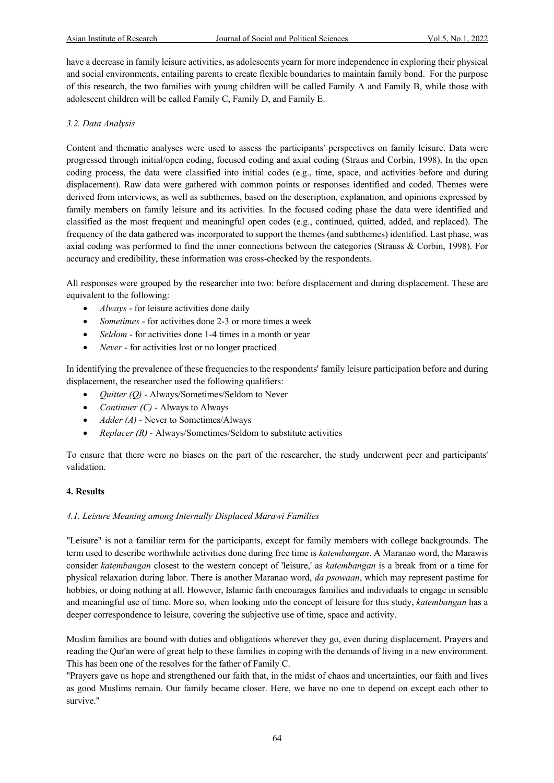have a decrease in family leisure activities, as adolescents yearn for more independence in exploring their physical and social environments, entailing parents to create flexible boundaries to maintain family bond. For the purpose of this research, the two families with young children will be called Family A and Family B, while those with adolescent children will be called Family C, Family D, and Family E.

#### *3.2. Data Analysis*

Content and thematic analyses were used to assess the participants' perspectives on family leisure. Data were progressed through initial/open coding, focused coding and axial coding (Straus and Corbin, 1998). In the open coding process, the data were classified into initial codes (e.g., time, space, and activities before and during displacement). Raw data were gathered with common points or responses identified and coded. Themes were derived from interviews, as well as subthemes, based on the description, explanation, and opinions expressed by family members on family leisure and its activities. In the focused coding phase the data were identified and classified as the most frequent and meaningful open codes (e.g., continued, quitted, added, and replaced). The frequency of the data gathered was incorporated to support the themes (and subthemes) identified. Last phase, was axial coding was performed to find the inner connections between the categories (Strauss & Corbin, 1998). For accuracy and credibility, these information was cross-checked by the respondents.

All responses were grouped by the researcher into two: before displacement and during displacement. These are equivalent to the following:

- *Always* for leisure activities done daily
- *Sometimes* for activities done 2-3 or more times a week
- *Seldom* for activities done 1-4 times in a month or year
- *Never* for activities lost or no longer practiced

In identifying the prevalence of these frequencies to the respondents' family leisure participation before and during displacement, the researcher used the following qualifiers:

- *Quitter (Q)* Always/Sometimes/Seldom to Never
- *Continuer (C)* Always to Always
- *Adder (A)* Never to Sometimes/Always
- *Replacer (R)* Always/Sometimes/Seldom to substitute activities

To ensure that there were no biases on the part of the researcher, the study underwent peer and participants' validation.

#### **4. Results**

#### *4.1. Leisure Meaning among Internally Displaced Marawi Families*

"Leisure" is not a familiar term for the participants, except for family members with college backgrounds. The term used to describe worthwhile activities done during free time is *katembangan*. A Maranao word, the Marawis consider *katembangan* closest to the western concept of 'leisure,' as *katembangan* is a break from or a time for physical relaxation during labor. There is another Maranao word, *da psowaan*, which may represent pastime for hobbies, or doing nothing at all. However, Islamic faith encourages families and individuals to engage in sensible and meaningful use of time. More so, when looking into the concept of leisure for this study, *katembangan* has a deeper correspondence to leisure, covering the subjective use of time, space and activity.

Muslim families are bound with duties and obligations wherever they go, even during displacement. Prayers and reading the Qur'an were of great help to these families in coping with the demands of living in a new environment. This has been one of the resolves for the father of Family C.

"Prayers gave us hope and strengthened our faith that, in the midst of chaos and uncertainties, our faith and lives as good Muslims remain. Our family became closer. Here, we have no one to depend on except each other to survive."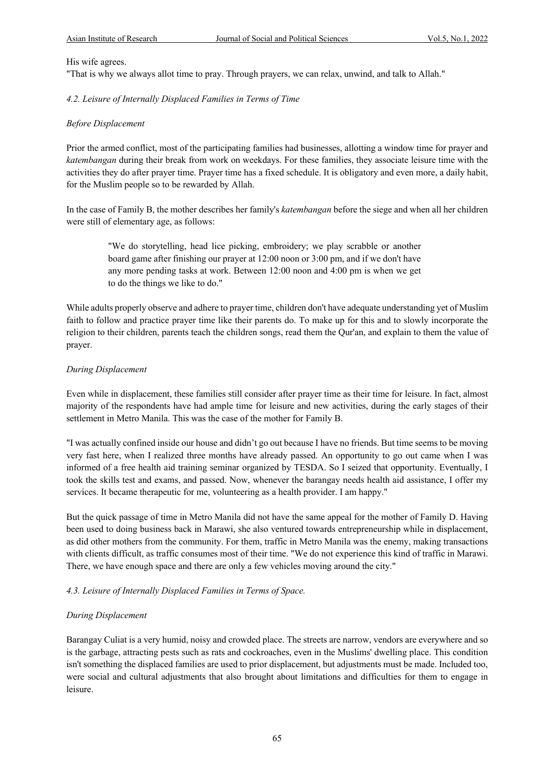#### His wife agrees.

"That is why we always allot time to pray. Through prayers, we can relax, unwind, and talk to Allah."

#### *4.2. Leisure of Internally Displaced Families in Terms of Time*

#### *Before Displacement*

Prior the armed conflict, most of the participating families had businesses, allotting a window time for prayer and *katembangan* during their break from work on weekdays. For these families, they associate leisure time with the activities they do after prayer time. Prayer time has a fixed schedule. It is obligatory and even more, a daily habit, for the Muslim people so to be rewarded by Allah.

In the case of Family B, the mother describes her family's *katembangan* before the siege and when all her children were still of elementary age, as follows:

"We do storytelling, head lice picking, embroidery; we play scrabble or another board game after finishing our prayer at 12:00 noon or 3:00 pm, and if we don't have any more pending tasks at work. Between 12:00 noon and 4:00 pm is when we get to do the things we like to do."

While adults properly observe and adhere to prayer time, children don't have adequate understanding yet of Muslim faith to follow and practice prayer time like their parents do. To make up for this and to slowly incorporate the religion to their children, parents teach the children songs, read them the Qur'an, and explain to them the value of prayer.

#### *During Displacement*

Even while in displacement, these families still consider after prayer time as their time for leisure. In fact, almost majority of the respondents have had ample time for leisure and new activities, during the early stages of their settlement in Metro Manila. This was the case of the mother for Family B.

"I was actually confined inside our house and didn't go out because I have no friends. But time seems to be moving very fast here, when I realized three months have already passed. An opportunity to go out came when I was informed of a free health aid training seminar organized by TESDA. So I seized that opportunity. Eventually, I took the skills test and exams, and passed. Now, whenever the barangay needs health aid assistance, I offer my services. It became therapeutic for me, volunteering as a health provider. I am happy."

But the quick passage of time in Metro Manila did not have the same appeal for the mother of Family D. Having been used to doing business back in Marawi, she also ventured towards entrepreneurship while in displacement, as did other mothers from the community. For them, traffic in Metro Manila was the enemy, making transactions with clients difficult, as traffic consumes most of their time. "We do not experience this kind of traffic in Marawi. There, we have enough space and there are only a few vehicles moving around the city."

#### *4.3. Leisure of Internally Displaced Families in Terms of Space.*

#### *During Displacement*

Barangay Culiat is a very humid, noisy and crowded place. The streets are narrow, vendors are everywhere and so is the garbage, attracting pests such as rats and cockroaches, even in the Muslims' dwelling place. This condition isn't something the displaced families are used to prior displacement, but adjustments must be made. Included too, were social and cultural adjustments that also brought about limitations and difficulties for them to engage in leisure.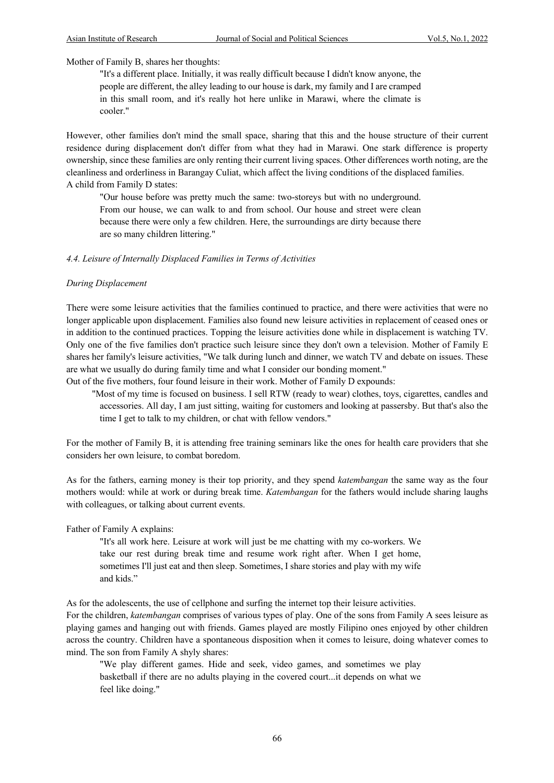Mother of Family B, shares her thoughts:

"It's a different place. Initially, it was really difficult because I didn't know anyone, the people are different, the alley leading to our house is dark, my family and I are cramped in this small room, and it's really hot here unlike in Marawi, where the climate is cooler."

However, other families don't mind the small space, sharing that this and the house structure of their current residence during displacement don't differ from what they had in Marawi. One stark difference is property ownership, since these families are only renting their current living spaces. Other differences worth noting, are the cleanliness and orderliness in Barangay Culiat, which affect the living conditions of the displaced families. A child from Family D states:

"Our house before was pretty much the same: two-storeys but with no underground. From our house, we can walk to and from school. Our house and street were clean because there were only a few children. Here, the surroundings are dirty because there are so many children littering."

*4.4. Leisure of Internally Displaced Families in Terms of Activities*

#### *During Displacement*

There were some leisure activities that the families continued to practice, and there were activities that were no longer applicable upon displacement. Families also found new leisure activities in replacement of ceased ones or in addition to the continued practices. Topping the leisure activities done while in displacement is watching TV. Only one of the five families don't practice such leisure since they don't own a television. Mother of Family E shares her family's leisure activities, "We talk during lunch and dinner, we watch TV and debate on issues. These are what we usually do during family time and what I consider our bonding moment."

Out of the five mothers, four found leisure in their work. Mother of Family D expounds:

 "Most of my time is focused on business. I sell RTW (ready to wear) clothes, toys, cigarettes, candles and accessories. All day, I am just sitting, waiting for customers and looking at passersby. But that's also the time I get to talk to my children, or chat with fellow vendors."

For the mother of Family B, it is attending free training seminars like the ones for health care providers that she considers her own leisure, to combat boredom.

As for the fathers, earning money is their top priority, and they spend *katembangan* the same way as the four mothers would: while at work or during break time. *Katembangan* for the fathers would include sharing laughs with colleagues, or talking about current events.

Father of Family A explains:

"It's all work here. Leisure at work will just be me chatting with my co-workers. We take our rest during break time and resume work right after. When I get home, sometimes I'll just eat and then sleep. Sometimes, I share stories and play with my wife and kids."

As for the adolescents, the use of cellphone and surfing the internet top their leisure activities. For the children, *katembangan* comprises of various types of play. One of the sons from Family A sees leisure as playing games and hanging out with friends. Games played are mostly Filipino ones enjoyed by other children across the country. Children have a spontaneous disposition when it comes to leisure, doing whatever comes to mind. The son from Family A shyly shares:

"We play different games. Hide and seek, video games, and sometimes we play basketball if there are no adults playing in the covered court...it depends on what we feel like doing."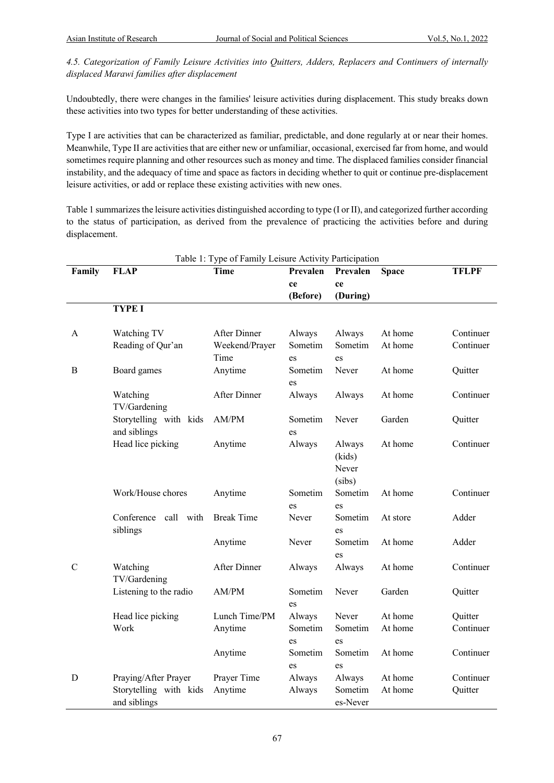*4.5. Categorization of Family Leisure Activities into Quitters, Adders, Replacers and Continuers of internally displaced Marawi families after displacement*

Undoubtedly, there were changes in the families' leisure activities during displacement. This study breaks down these activities into two types for better understanding of these activities.

Type I are activities that can be characterized as familiar, predictable, and done regularly at or near their homes. Meanwhile, Type II are activities that are either new or unfamiliar, occasional, exercised far from home, and would sometimes require planning and other resources such as money and time. The displaced families consider financial instability, and the adequacy of time and space as factors in deciding whether to quit or continue pre-displacement leisure activities, or add or replace these existing activities with new ones.

Table 1 summarizes the leisure activities distinguished according to type (I or II), and categorized further according to the status of participation, as derived from the prevalence of practicing the activities before and during displacement.

| Table 1: Type of Family Leisure Activity Participation |                                     |                   |          |          |              |              |  |  |  |  |
|--------------------------------------------------------|-------------------------------------|-------------------|----------|----------|--------------|--------------|--|--|--|--|
| Family                                                 | <b>FLAP</b>                         | <b>Time</b>       | Prevalen | Prevalen | <b>Space</b> | <b>TFLPF</b> |  |  |  |  |
|                                                        |                                     |                   | ce       | ce       |              |              |  |  |  |  |
|                                                        |                                     |                   | (Before) | (During) |              |              |  |  |  |  |
|                                                        | <b>TYPE I</b>                       |                   |          |          |              |              |  |  |  |  |
|                                                        |                                     |                   |          |          |              |              |  |  |  |  |
| A                                                      | Watching TV                         | After Dinner      | Always   | Always   | At home      | Continuer    |  |  |  |  |
|                                                        | Reading of Qur'an                   | Weekend/Prayer    | Sometim  | Sometim  | At home      | Continuer    |  |  |  |  |
|                                                        |                                     | Time              | es       | es       |              |              |  |  |  |  |
| B                                                      | Board games                         | Anytime           | Sometim  | Never    | At home      | Quitter      |  |  |  |  |
|                                                        |                                     |                   | es       |          |              |              |  |  |  |  |
|                                                        | Watching                            | After Dinner      | Always   | Always   | At home      | Continuer    |  |  |  |  |
|                                                        | TV/Gardening                        |                   |          |          |              |              |  |  |  |  |
|                                                        | Storytelling with kids              | AM/PM             | Sometim  | Never    | Garden       | Quitter      |  |  |  |  |
|                                                        | and siblings                        |                   | es       |          |              |              |  |  |  |  |
|                                                        | Head lice picking                   | Anytime           | Always   | Always   | At home      | Continuer    |  |  |  |  |
|                                                        |                                     |                   |          | (kids)   |              |              |  |  |  |  |
|                                                        |                                     |                   |          | Never    |              |              |  |  |  |  |
|                                                        |                                     |                   |          | (sibs)   |              |              |  |  |  |  |
|                                                        | Work/House chores                   | Anytime           | Sometim  | Sometim  | At home      | Continuer    |  |  |  |  |
|                                                        |                                     |                   | es       | es       |              |              |  |  |  |  |
|                                                        | Conference<br>call with<br>siblings | <b>Break Time</b> | Never    | Sometim  | At store     | Adder        |  |  |  |  |
|                                                        |                                     |                   |          | es       |              |              |  |  |  |  |
|                                                        |                                     | Anytime           | Never    | Sometim  | At home      | Adder        |  |  |  |  |
|                                                        |                                     |                   |          | es       |              |              |  |  |  |  |
| $\mathcal{C}$                                          | Watching                            | After Dinner      | Always   | Always   | At home      | Continuer    |  |  |  |  |
|                                                        | TV/Gardening                        |                   |          |          |              |              |  |  |  |  |
|                                                        | Listening to the radio              | AM/PM             | Sometim  | Never    | Garden       | Quitter      |  |  |  |  |
|                                                        |                                     |                   | es       |          |              |              |  |  |  |  |
|                                                        | Head lice picking                   | Lunch Time/PM     | Always   | Never    | At home      | Quitter      |  |  |  |  |
|                                                        | Work                                | Anytime           | Sometim  | Sometim  | At home      | Continuer    |  |  |  |  |
|                                                        |                                     |                   | es       | es       |              |              |  |  |  |  |
|                                                        |                                     | Anytime           | Sometim  | Sometim  | At home      | Continuer    |  |  |  |  |
|                                                        |                                     |                   | es       | es       |              |              |  |  |  |  |
| D                                                      | Praying/After Prayer                | Prayer Time       | Always   | Always   | At home      | Continuer    |  |  |  |  |
|                                                        | Storytelling with kids              | Anytime           | Always   | Sometim  | At home      | Quitter      |  |  |  |  |
|                                                        | and siblings                        |                   |          | es-Never |              |              |  |  |  |  |

67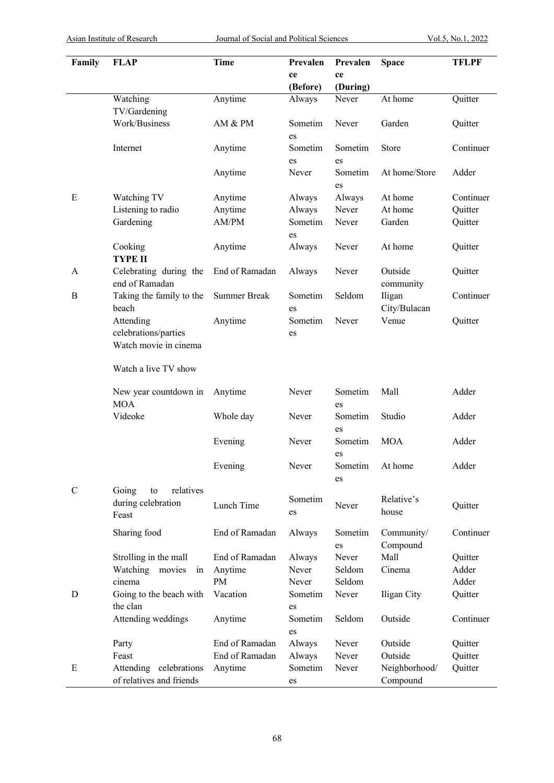| Family      | <b>FLAP</b>                                                     | <b>Time</b>         | Prevalen       | Prevalen       | <b>Space</b>              | <b>TFLPF</b> |
|-------------|-----------------------------------------------------------------|---------------------|----------------|----------------|---------------------------|--------------|
|             |                                                                 |                     | ce<br>(Before) | ce<br>(During) |                           |              |
|             | Watching<br>TV/Gardening                                        | Anytime             | Always         | Never          | At home                   | Quitter      |
|             | Work/Business                                                   | AM & PM             | Sometim<br>es  | Never          | Garden                    | Quitter      |
|             | Internet                                                        | Anytime             | Sometim<br>es  | Sometim<br>es  | Store                     | Continuer    |
|             |                                                                 | Anytime             | Never          | Sometim<br>es  | At home/Store             | Adder        |
| E           | Watching TV                                                     | Anytime             | Always         | Always         | At home                   | Continuer    |
|             | Listening to radio                                              | Anytime             | Always         | Never          | At home                   | Quitter      |
|             | Gardening                                                       | AM/PM               | Sometim<br>es  | Never          | Garden                    | Quitter      |
|             | Cooking<br><b>TYPE II</b>                                       | Anytime             | Always         | Never          | At home                   | Quitter      |
| A           | Celebrating during the<br>end of Ramadan                        | End of Ramadan      | Always         | Never          | Outside<br>community      | Quitter      |
| B           | Taking the family to the<br>beach                               | <b>Summer Break</b> | Sometim<br>es  | Seldom         | Iligan<br>City/Bulacan    | Continuer    |
|             | Attending<br>celebrations/parties<br>Watch movie in cinema      | Anytime             | Sometim<br>es  | Never          | Venue                     | Quitter      |
|             | Watch a live TV show                                            |                     |                |                |                           |              |
|             | New year countdown in<br><b>MOA</b>                             | Anytime             | Never          | Sometim<br>es  | Mall                      | Adder        |
|             | Videoke                                                         | Whole day           | Never          | Sometim<br>es  | Studio                    | Adder        |
|             |                                                                 | Evening             | Never          | Sometim<br>es  | <b>MOA</b>                | Adder        |
|             |                                                                 | Evening             | Never          | Sometim<br>es  | At home                   | Adder        |
| $\mathbf C$ | Going<br>relatives<br>${\rm to}$<br>during celebration<br>Feast | Lunch Time          | Sometim<br>es  | Never          | Relative's<br>house       | Quitter      |
|             | Sharing food                                                    | End of Ramadan      | Always         | Sometim<br>es  | Community/<br>Compound    | Continuer    |
|             | Strolling in the mall                                           | End of Ramadan      | Always         | Never          | Mall                      | Quitter      |
|             | Watching movies<br>in                                           | Anytime             | Never          | Seldom         | Cinema                    | Adder        |
|             | cinema                                                          | PM                  | Never          | Seldom         |                           | Adder        |
| D           | Going to the beach with<br>the clan                             | Vacation            | Sometim<br>es  | Never          | Iligan City               | Quitter      |
|             | Attending weddings                                              | Anytime             | Sometim<br>es  | Seldom         | Outside                   | Continuer    |
|             | Party                                                           | End of Ramadan      | Always         | Never          | Outside                   | Quitter      |
|             | Feast                                                           | End of Ramadan      | Always         | Never          | Outside                   | Quitter      |
| E           | Attending celebrations<br>of relatives and friends              | Anytime             | Sometim<br>es  | Never          | Neighborhood/<br>Compound | Quitter      |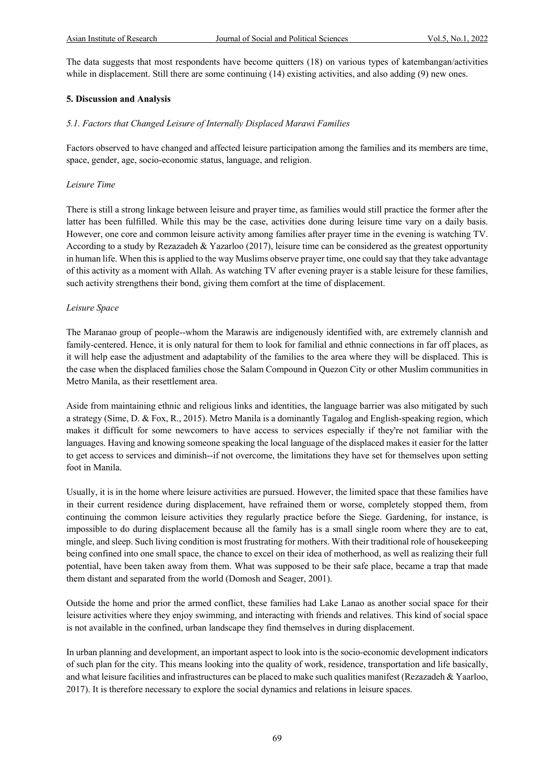The data suggests that most respondents have become quitters (18) on various types of katembangan/activities while in displacement. Still there are some continuing (14) existing activities, and also adding (9) new ones.

#### **5. Discussion and Analysis**

#### *5.1. Factors that Changed Leisure of Internally Displaced Marawi Families*

Factors observed to have changed and affected leisure participation among the families and its members are time, space, gender, age, socio-economic status, language, and religion.

#### *Leisure Time*

There is still a strong linkage between leisure and prayer time, as families would still practice the former after the latter has been fulfilled. While this may be the case, activities done during leisure time vary on a daily basis. However, one core and common leisure activity among families after prayer time in the evening is watching TV. According to a study by Rezazadeh & Yazarloo (2017), leisure time can be considered as the greatest opportunity in human life. When this is applied to the way Muslims observe prayer time, one could say that they take advantage of this activity as a moment with Allah. As watching TV after evening prayer is a stable leisure for these families, such activity strengthens their bond, giving them comfort at the time of displacement.

#### *Leisure Space*

The Maranao group of people--whom the Marawis are indigenously identified with, are extremely clannish and family-centered. Hence, it is only natural for them to look for familial and ethnic connections in far off places, as it will help ease the adjustment and adaptability of the families to the area where they will be displaced. This is the case when the displaced families chose the Salam Compound in Quezon City or other Muslim communities in Metro Manila, as their resettlement area.

Aside from maintaining ethnic and religious links and identities, the language barrier was also mitigated by such a strategy (Sime, D. & Fox, R., 2015). Metro Manila is a dominantly Tagalog and English-speaking region, which makes it difficult for some newcomers to have access to services especially if they're not familiar with the languages. Having and knowing someone speaking the local language of the displaced makes it easier for the latter to get access to services and diminish--if not overcome, the limitations they have set for themselves upon setting foot in Manila.

Usually, it is in the home where leisure activities are pursued. However, the limited space that these families have in their current residence during displacement, have refrained them or worse, completely stopped them, from continuing the common leisure activities they regularly practice before the Siege. Gardening, for instance, is impossible to do during displacement because all the family has is a small single room where they are to eat, mingle, and sleep. Such living condition is most frustrating for mothers. With their traditional role of housekeeping being confined into one small space, the chance to excel on their idea of motherhood, as well as realizing their full potential, have been taken away from them. What was supposed to be their safe place, became a trap that made them distant and separated from the world (Domosh and Seager, 2001).

Outside the home and prior the armed conflict, these families had Lake Lanao as another social space for their leisure activities where they enjoy swimming, and interacting with friends and relatives. This kind of social space is not available in the confined, urban landscape they find themselves in during displacement.

In urban planning and development, an important aspect to look into is the socio-economic development indicators of such plan for the city. This means looking into the quality of work, residence, transportation and life basically, and what leisure facilities and infrastructures can be placed to make such qualities manifest (Rezazadeh & Yaarloo, 2017). It is therefore necessary to explore the social dynamics and relations in leisure spaces.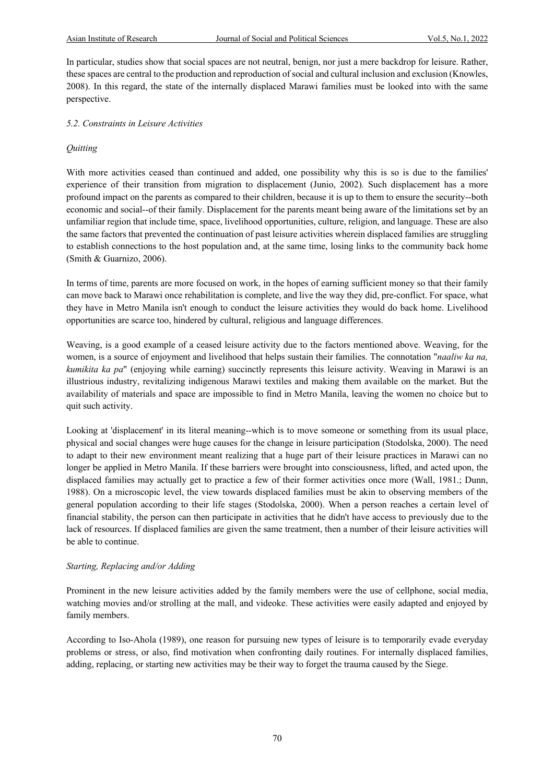In particular, studies show that social spaces are not neutral, benign, nor just a mere backdrop for leisure. Rather, these spaces are central to the production and reproduction of social and cultural inclusion and exclusion (Knowles, 2008). In this regard, the state of the internally displaced Marawi families must be looked into with the same perspective.

#### *5.2. Constraints in Leisure Activities*

#### *Quitting*

With more activities ceased than continued and added, one possibility why this is so is due to the families' experience of their transition from migration to displacement (Junio, 2002). Such displacement has a more profound impact on the parents as compared to their children, because it is up to them to ensure the security--both economic and social--of their family. Displacement for the parents meant being aware of the limitations set by an unfamiliar region that include time, space, livelihood opportunities, culture, religion, and language. These are also the same factors that prevented the continuation of past leisure activities wherein displaced families are struggling to establish connections to the host population and, at the same time, losing links to the community back home (Smith & Guarnizo, 2006).

In terms of time, parents are more focused on work, in the hopes of earning sufficient money so that their family can move back to Marawi once rehabilitation is complete, and live the way they did, pre-conflict. For space, what they have in Metro Manila isn't enough to conduct the leisure activities they would do back home. Livelihood opportunities are scarce too, hindered by cultural, religious and language differences.

Weaving, is a good example of a ceased leisure activity due to the factors mentioned above. Weaving, for the women, is a source of enjoyment and livelihood that helps sustain their families. The connotation "*naaliw ka na, kumikita ka pa*" (enjoying while earning) succinctly represents this leisure activity. Weaving in Marawi is an illustrious industry, revitalizing indigenous Marawi textiles and making them available on the market. But the availability of materials and space are impossible to find in Metro Manila, leaving the women no choice but to quit such activity.

Looking at 'displacement' in its literal meaning--which is to move someone or something from its usual place, physical and social changes were huge causes for the change in leisure participation (Stodolska, 2000). The need to adapt to their new environment meant realizing that a huge part of their leisure practices in Marawi can no longer be applied in Metro Manila. If these barriers were brought into consciousness, lifted, and acted upon, the displaced families may actually get to practice a few of their former activities once more (Wall, 1981.; Dunn, 1988). On a microscopic level, the view towards displaced families must be akin to observing members of the general population according to their life stages (Stodolska, 2000). When a person reaches a certain level of financial stability, the person can then participate in activities that he didn't have access to previously due to the lack of resources. If displaced families are given the same treatment, then a number of their leisure activities will be able to continue.

#### *Starting, Replacing and/or Adding*

Prominent in the new leisure activities added by the family members were the use of cellphone, social media, watching movies and/or strolling at the mall, and videoke. These activities were easily adapted and enjoyed by family members.

According to Iso-Ahola (1989), one reason for pursuing new types of leisure is to temporarily evade everyday problems or stress, or also, find motivation when confronting daily routines. For internally displaced families, adding, replacing, or starting new activities may be their way to forget the trauma caused by the Siege.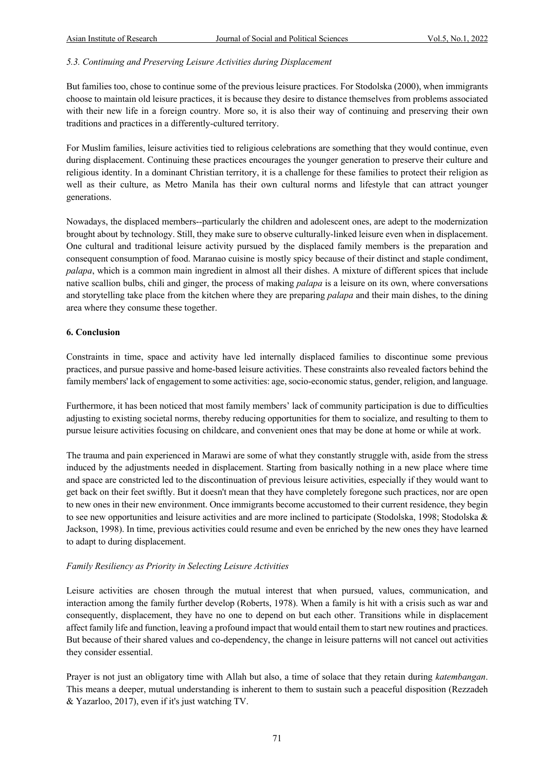#### *5.3. Continuing and Preserving Leisure Activities during Displacement*

But families too, chose to continue some of the previous leisure practices. For Stodolska (2000), when immigrants choose to maintain old leisure practices, it is because they desire to distance themselves from problems associated with their new life in a foreign country. More so, it is also their way of continuing and preserving their own traditions and practices in a differently-cultured territory.

For Muslim families, leisure activities tied to religious celebrations are something that they would continue, even during displacement. Continuing these practices encourages the younger generation to preserve their culture and religious identity. In a dominant Christian territory, it is a challenge for these families to protect their religion as well as their culture, as Metro Manila has their own cultural norms and lifestyle that can attract younger generations.

Nowadays, the displaced members--particularly the children and adolescent ones, are adept to the modernization brought about by technology. Still, they make sure to observe culturally-linked leisure even when in displacement. One cultural and traditional leisure activity pursued by the displaced family members is the preparation and consequent consumption of food. Maranao cuisine is mostly spicy because of their distinct and staple condiment, *palapa*, which is a common main ingredient in almost all their dishes. A mixture of different spices that include native scallion bulbs, chili and ginger, the process of making *palapa* is a leisure on its own, where conversations and storytelling take place from the kitchen where they are preparing *palapa* and their main dishes, to the dining area where they consume these together.

#### **6. Conclusion**

Constraints in time, space and activity have led internally displaced families to discontinue some previous practices, and pursue passive and home-based leisure activities. These constraints also revealed factors behind the family members' lack of engagement to some activities: age, socio-economic status, gender, religion, and language.

Furthermore, it has been noticed that most family members' lack of community participation is due to difficulties adjusting to existing societal norms, thereby reducing opportunities for them to socialize, and resulting to them to pursue leisure activities focusing on childcare, and convenient ones that may be done at home or while at work.

The trauma and pain experienced in Marawi are some of what they constantly struggle with, aside from the stress induced by the adjustments needed in displacement. Starting from basically nothing in a new place where time and space are constricted led to the discontinuation of previous leisure activities, especially if they would want to get back on their feet swiftly. But it doesn't mean that they have completely foregone such practices, nor are open to new ones in their new environment. Once immigrants become accustomed to their current residence, they begin to see new opportunities and leisure activities and are more inclined to participate (Stodolska, 1998; Stodolska  $\&$ Jackson, 1998). In time, previous activities could resume and even be enriched by the new ones they have learned to adapt to during displacement.

#### *Family Resiliency as Priority in Selecting Leisure Activities*

Leisure activities are chosen through the mutual interest that when pursued, values, communication, and interaction among the family further develop (Roberts, 1978). When a family is hit with a crisis such as war and consequently, displacement, they have no one to depend on but each other. Transitions while in displacement affect family life and function, leaving a profound impact that would entail them to start new routines and practices. But because of their shared values and co-dependency, the change in leisure patterns will not cancel out activities they consider essential.

Prayer is not just an obligatory time with Allah but also, a time of solace that they retain during *katembangan*. This means a deeper, mutual understanding is inherent to them to sustain such a peaceful disposition (Rezzadeh & Yazarloo, 2017), even if it's just watching TV.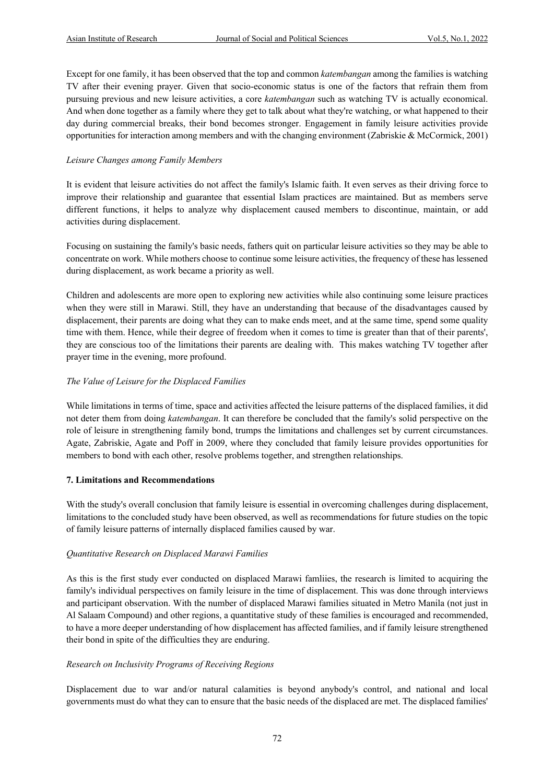Except for one family, it has been observed that the top and common *katembangan* among the families is watching TV after their evening prayer. Given that socio-economic status is one of the factors that refrain them from pursuing previous and new leisure activities, a core *katembangan* such as watching TV is actually economical. And when done together as a family where they get to talk about what they're watching, or what happened to their day during commercial breaks, their bond becomes stronger. Engagement in family leisure activities provide opportunities for interaction among members and with the changing environment (Zabriskie & McCormick, 2001)

#### *Leisure Changes among Family Members*

It is evident that leisure activities do not affect the family's Islamic faith. It even serves as their driving force to improve their relationship and guarantee that essential Islam practices are maintained. But as members serve different functions, it helps to analyze why displacement caused members to discontinue, maintain, or add activities during displacement.

Focusing on sustaining the family's basic needs, fathers quit on particular leisure activities so they may be able to concentrate on work. While mothers choose to continue some leisure activities, the frequency of these has lessened during displacement, as work became a priority as well.

Children and adolescents are more open to exploring new activities while also continuing some leisure practices when they were still in Marawi. Still, they have an understanding that because of the disadvantages caused by displacement, their parents are doing what they can to make ends meet, and at the same time, spend some quality time with them. Hence, while their degree of freedom when it comes to time is greater than that of their parents', they are conscious too of the limitations their parents are dealing with. This makes watching TV together after prayer time in the evening, more profound.

#### *The Value of Leisure for the Displaced Families*

While limitations in terms of time, space and activities affected the leisure patterns of the displaced families, it did not deter them from doing *katembangan*. It can therefore be concluded that the family's solid perspective on the role of leisure in strengthening family bond, trumps the limitations and challenges set by current circumstances. Agate, Zabriskie, Agate and Poff in 2009, where they concluded that family leisure provides opportunities for members to bond with each other, resolve problems together, and strengthen relationships.

#### **7. Limitations and Recommendations**

With the study's overall conclusion that family leisure is essential in overcoming challenges during displacement, limitations to the concluded study have been observed, as well as recommendations for future studies on the topic of family leisure patterns of internally displaced families caused by war.

#### *Quantitative Research on Displaced Marawi Families*

As this is the first study ever conducted on displaced Marawi famliies, the research is limited to acquiring the family's individual perspectives on family leisure in the time of displacement. This was done through interviews and participant observation. With the number of displaced Marawi families situated in Metro Manila (not just in Al Salaam Compound) and other regions, a quantitative study of these families is encouraged and recommended, to have a more deeper understanding of how displacement has affected families, and if family leisure strengthened their bond in spite of the difficulties they are enduring.

#### *Research on Inclusivity Programs of Receiving Regions*

Displacement due to war and/or natural calamities is beyond anybody's control, and national and local governments must do what they can to ensure that the basic needs of the displaced are met. The displaced families'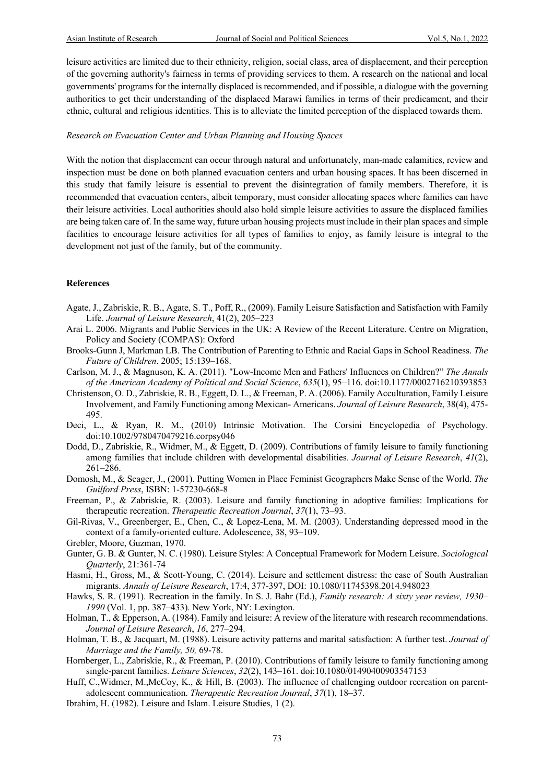leisure activities are limited due to their ethnicity, religion, social class, area of displacement, and their perception of the governing authority's fairness in terms of providing services to them. A research on the national and local governments' programs for the internally displaced is recommended, and if possible, a dialogue with the governing authorities to get their understanding of the displaced Marawi families in terms of their predicament, and their ethnic, cultural and religious identities. This is to alleviate the limited perception of the displaced towards them.

#### *Research on Evacuation Center and Urban Planning and Housing Spaces*

With the notion that displacement can occur through natural and unfortunately, man-made calamities, review and inspection must be done on both planned evacuation centers and urban housing spaces. It has been discerned in this study that family leisure is essential to prevent the disintegration of family members. Therefore, it is recommended that evacuation centers, albeit temporary, must consider allocating spaces where families can have their leisure activities. Local authorities should also hold simple leisure activities to assure the displaced families are being taken care of. In the same way, future urban housing projects must include in their plan spaces and simple facilities to encourage leisure activities for all types of families to enjoy, as family leisure is integral to the development not just of the family, but of the community.

#### **References**

- Agate, J., Zabriskie, R. B., Agate, S. T., Poff, R., (2009). Family Leisure Satisfaction and Satisfaction with Family Life. *Journal of Leisure Research*, 41(2), 205–223
- Arai L. 2006. Migrants and Public Services in the UK: A Review of the Recent Literature. Centre on Migration, Policy and Society (COMPAS): Oxford
- Brooks-Gunn J, Markman LB. The Contribution of Parenting to Ethnic and Racial Gaps in School Readiness. *The Future of Children*. 2005; 15:139–168.
- Carlson, M. J., & Magnuson, K. A. (2011). "Low-Income Men and Fathers' Influences on Children?" *The Annals of the American Academy of Political and Social Science*, *635*(1), 95–116. doi:10.1177/0002716210393853
- Christenson, O. D., Zabriskie, R. B., Eggett, D. L., & Freeman, P. A. (2006). Family Acculturation, Family Leisure Involvement, and Family Functioning among Mexican- Americans. *Journal of Leisure Research*, 38(4), 475- 495.
- Deci, L., & Ryan, R. M., (2010) Intrinsic Motivation. The Corsini Encyclopedia of Psychology. doi:10.1002/9780470479216.corpsy046
- Dodd, D., Zabriskie, R., Widmer, M., & Eggett, D. (2009). Contributions of family leisure to family functioning among families that include children with developmental disabilities. *Journal of Leisure Research*, *41*(2), 261–286.
- Domosh, M., & Seager, J., (2001). Putting Women in Place Feminist Geographers Make Sense of the World. *The Guilford Press*, ISBN: 1-57230-668-8
- Freeman, P., & Zabriskie, R. (2003). Leisure and family functioning in adoptive families: Implications for therapeutic recreation. *Therapeutic Recreation Journal*, *37*(1), 73–93.
- Gil-Rivas, V., Greenberger, E., Chen, C., & Lopez-Lena, M. M. (2003). Understanding depressed mood in the context of a family-oriented culture. Adolescence, 38, 93–109.
- Grebler, Moore, Guzman, 1970.
- Gunter, G. B. & Gunter, N. C. (1980). Leisure Styles: A Conceptual Framework for Modern Leisure. *Sociological Quarterly*, 21:361-74
- Hasmi, H., Gross, M., & Scott-Young, C. (2014). Leisure and settlement distress: the case of South Australian migrants. *Annals of Leisure Research*, 17:4, 377-397, DOI: 10.1080/11745398.2014.948023
- Hawks, S. R. (1991). Recreation in the family. In S. J. Bahr (Ed.), *Family research: A sixty year review, 1930– 1990* (Vol. 1, pp. 387–433). New York, NY: Lexington.
- Holman, T., & Epperson, A. (1984). Family and leisure: A review of the literature with research recommendations. *Journal of Leisure Research*, *16*, 277–294.
- Holman, T. B., & Jacquart, M. (1988). Leisure activity patterns and marital satisfaction: A further test. *Journal of Marriage and the Family, 50,* 69-78.
- Hornberger, L., Zabriskie, R., & Freeman, P. (2010). Contributions of family leisure to family functioning among single-parent families. *Leisure Sciences*, *32*(2), 143–161. doi:10.1080/01490400903547153
- Huff, C.,Widmer, M.,McCoy, K., & Hill, B. (2003). The influence of challenging outdoor recreation on parentadolescent communication. *Therapeutic Recreation Journal*, *37*(1), 18–37.
- Ibrahim, H. (1982). Leisure and Islam. Leisure Studies, 1 (2).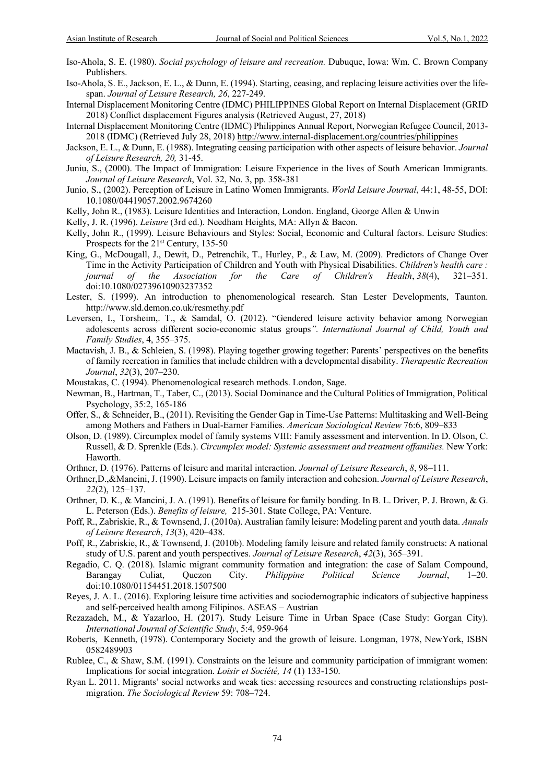- Iso-Ahola, S. E. (1980). *Social psychology of leisure and recreation.* Dubuque, Iowa: Wm. C. Brown Company Publishers.
- Iso-Ahola, S. E., Jackson, E. L., & Dunn, E. (1994). Starting, ceasing, and replacing leisure activities over the lifespan. *Journal of Leisure Research, 26*, 227-249.
- Internal Displacement Monitoring Centre (IDMC) PHILIPPINES Global Report on Internal Displacement (GRID 2018) Conflict displacement Figures analysis (Retrieved August, 27, 2018)
- Internal Displacement Monitoring Centre (IDMC) Philippines Annual Report, Norwegian Refugee Council, 2013- 2018 (IDMC) (Retrieved July 28, 2018) http://www.internal-displacement.org/countries/philippines
- Jackson, E. L., & Dunn, E. (1988). Integrating ceasing participation with other aspects of leisure behavior. *Journal of Leisure Research, 20,* 31-45.
- Juniu, S., (2000). The Impact of Immigration: Leisure Experience in the lives of South American Immigrants. *Journal of Leisure Research*, Vol. 32, No. 3, pp. 358-381
- Junio, S., (2002). Perception of Leisure in Latino Women Immigrants. *World Leisure Journal*, 44:1, 48-55, DOI: 10.1080/04419057.2002.9674260
- Kelly, John R., (1983). Leisure Identities and Interaction, London. England, George Allen & Unwin
- Kelly, J. R. (1996). *Leisure* (3rd ed.). Needham Heights, MA: Allyn & Bacon.
- Kelly, John R., (1999). Leisure Behaviours and Styles: Social, Economic and Cultural factors. Leisure Studies: Prospects for the 21<sup>st</sup> Century, 135-50
- King, G., McDougall, J., Dewit, D., Petrenchik, T., Hurley, P., & Law, M. (2009). Predictors of Change Over Time in the Activity Participation of Children and Youth with Physical Disabilities. *Children's health care : journal of the Association for the Care of Children's Health*, *38*(4), 321–351. doi:10.1080/02739610903237352
- Lester, S. (1999). An introduction to phenomenological research. Stan Lester Developments, Taunton. http://www.sld.demon.co.uk/resmethy.pdf
- Leversen, I., Torsheim,. T., & Samdal, O. (2012). "Gendered leisure activity behavior among Norwegian adolescents across different socio-economic status groups*". International Journal of Child, Youth and Family Studies*, 4, 355–375.
- Mactavish, J. B., & Schleien, S. (1998). Playing together growing together: Parents' perspectives on the benefits of family recreation in families that include children with a developmental disability. *Therapeutic Recreation Journal*, *32*(3), 207–230.
- Moustakas, C. (1994). Phenomenological research methods. London, Sage.
- Newman, B., Hartman, T., Taber, C., (2013). Social Dominance and the Cultural Politics of Immigration, Political Psychology, 35:2, 165-186
- Offer, S., & Schneider, B., (2011). Revisiting the Gender Gap in Time-Use Patterns: Multitasking and Well-Being among Mothers and Fathers in Dual-Earner Families. *American Sociological Review* 76:6, 809–833
- Olson, D. (1989). Circumplex model of family systems VIII: Family assessment and intervention. In D. Olson, C. Russell, & D. Sprenkle (Eds.). *Circumplex model: Systemic assessment and treatment offamilies.* New York: Haworth.
- Orthner, D. (1976). Patterns of leisure and marital interaction. *Journal of Leisure Research*, *8*, 98–111.
- Orthner,D.,&Mancini, J. (1990). Leisure impacts on family interaction and cohesion. *Journal of Leisure Research*, *22*(2), 125–137.
- Orthner, D. K., & Mancini, J. A. (1991). Benefits of leisure for family bonding. In B. L. Driver, P. J. Brown, & G. L. Peterson (Eds.). *Benefits of leisure,* 215-301. State College, PA: Venture.
- Poff, R., Zabriskie, R., & Townsend, J. (2010a). Australian family leisure: Modeling parent and youth data. *Annals of Leisure Research*, *13*(3), 420–438.
- Poff, R., Zabriskie, R., & Townsend, J. (2010b). Modeling family leisure and related family constructs: A national study of U.S. parent and youth perspectives. *Journal of Leisure Research*, *42*(3), 365–391.
- Regadio, C. Q. (2018). Islamic migrant community formation and integration: the case of Salam Compound,<br>Barangay Culiat, Quezon City. *Philippine Political Science Journal*. 1–20. Barangay Culiat, Quezon City. *Philippine Political Science Journal*, 1–20. doi:10.1080/01154451.2018.1507500
- Reyes, J. A. L. (2016). Exploring leisure time activities and sociodemographic indicators of subjective happiness and self-perceived health among Filipinos. ASEAS – Austrian
- Rezazadeh, M., & Yazarloo, H. (2017). Study Leisure Time in Urban Space (Case Study: Gorgan City). *International Journal of Scientific Study*, 5:4, 959-964
- Roberts, Kenneth, (1978). Contemporary Society and the growth of leisure. Longman, 1978, NewYork, ISBN 0582489903
- Rublee, C., & Shaw, S.M. (1991). Constraints on the leisure and community participation of immigrant women: Implications for social integration. *Loisir et Société, 14* (1) 133-150.
- Ryan L. 2011. Migrants' social networks and weak ties: accessing resources and constructing relationships postmigration. *The Sociological Review* 59: 708–724.